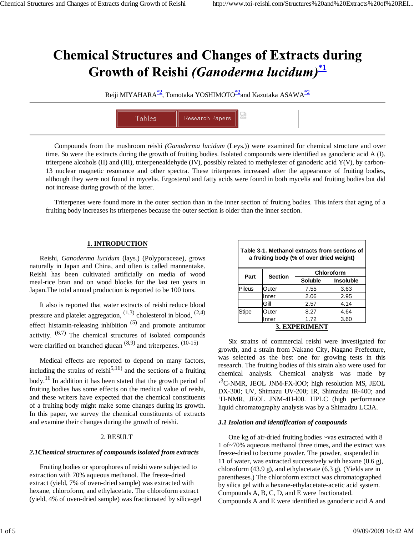# **Chemical Structures and Changes of Extracts during** Growth of Reishi (Ganoderma lucidum)<sup>\*1</sup>

Reiji MIYAHARA<sup>\*2</sup>, Tomotaka YOSHIMOTO<sup>\*2</sup>and Kazutaka ASAWA<sup>\*2</sup>



Compounds from the mushroom reishi *(Ganoderma lucidum* (Leys.)) were examined for chemical structure and over time. So were the extracts during the growth of fruiting bodies. Isolated compounds were identified as ganoderic acid A (I). triterpene alcohols (II) and (III), triterpenealdehyde (IV), possibly related to methylester of ganoderic acid Y(V), by carbon-13 nuclear magnetic resonance and other spectra. These triterpenes increased after the appearance of fruiting bodies, although they were not found in mycelia. Ergosterol and fatty acids were found in both mycelia and fruiting bodies but did not increase during growth of the latter.

Triterpenes were found more in the outer section than in the inner section of fruiting bodies. This infers that aging of a fruiting body increases its triterpenes because the outer section is older than the inner section.

# **1. INTRODUCTION**

Reishi, *Ganoderma lucidum* (lays.) (Polyporaceae), grows naturally in Japan and China, and often is called mannentake. Reishi has been cultivated artificially on media of wood meal-rice bran and on wood blocks for the last ten years in Japan.The total annual production is reported to be 100 tons.

It also is reported that water extracts of reishi reduce blood pressure and platelet aggregation,  $(1,3)$  cholesterol in blood,  $(2,4)$ effect histamin-releasing inhibition  $(5)$  and promote antitumor activity.  $(6,7)$  The chemical structures of isolated compounds were clarified on branched glucan  $(8,9)$  and triterpenes.  $(10-15)$ 

Medical effects are reported to depend on many factors, including the strains of reishi<sup>5,16)</sup> and the sections of a fruiting body.16 In addition it has been stated that the growth period of fruiting bodies has some effects on the medical value of reishi, and these writers have expected that the chemical constituents of a fruiting body might make some changes during its growth. In this paper, we survey the chemical constituents of extracts and examine their changes during the growth of reishi.

# 2. RESULT

# *2.1Chemical structures of compounds isolated from extracts*

Fruiting bodies or sporophores of reishi were subjected to extraction with 70% aqueous methanol. The freeze-dried extract (yield, 7% of oven-dried sample) was extracted with hexane, chloroform, and ethylacetate. The chloroform extract (yield, 4% of oven-dried sample) was fractionated by silica-gel

| Table 3-1. Methanol extracts from sections of<br>a fruiting body (% of over dried weight) |                |                |                  |
|-------------------------------------------------------------------------------------------|----------------|----------------|------------------|
| Part                                                                                      | <b>Section</b> | Chloroform     |                  |
|                                                                                           |                | <b>Soluble</b> | <b>Insoluble</b> |
| Pileus                                                                                    | Outer          | 7.55           | 3.63             |
|                                                                                           | Inner          | 2.06           | 2.95             |
|                                                                                           | Gill           | 2.57           | 4.14             |
| Stipe                                                                                     | Outer          | 8.27           | 4.64             |

**3. EXPERIMENT**

Inner 1.72 3.60

Six strains of commercial reishi were investigated for growth, and a strain from Nakano City, Nagano Prefecture, was selected as the best one for growing tests in this research. The fruiting bodies of this strain also were used for chemical analysis. Chemical analysis was made by ' 3 C-NMR, JEOL JNM-FX-lOO; high resolution MS, JEOL DX-300; UV, Shimazu UV-200; IR, Shimadzu IR-400; and 'H-NMR, JEOL JNM-4H-l00. HPLC (high performance liquid chromatography analysis was by a Shimadzu LC3A.

#### *3.1 Isolation and identification of compounds*

One kg of air-dried fruiting bodies ~vas extracted with 8 1 of~70% aqueous methanol three times, and the extract was freeze-dried to become powder. The powder, suspended in 11 of water, was extracted successively with hexane (0.6 g), chloroform (43.9 g), and ethylacetate (6.3 g). (Yields are in parentheses.) The chloroform extract was chromatographed by silica gel with a hexane-ethylacetate-acetic acid system. Compounds A, B, C, D, and E were fractionated. Compounds A and E were identified as ganoderic acid A and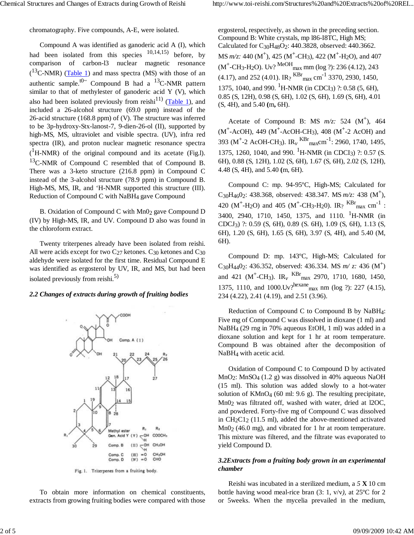chromatography. Five compounds, A-E, were isolated.

Compound A was identified as ganoderic acid A (I)*,* which had been isolated from this species  $10,14,15$  before, by comparison of carbon-l3 nuclear magnetic resonance  $($ <sup>13</sup>C-NMR) (Table 1) and mass spectra (MS) with those of an authentic sample.<sup>t0~</sup> Compound B had a <sup>13</sup>C-NMR pattern similar to that of methylester of ganoderic acid Y (V), which also had been isolated previously from reishi<sup>11)</sup> (Table 1), and included a 26-alcohol structure (69.0 ppm) instead of the 26-acid structure (168.8 ppm) of (V). The structure was inferred to be 3p-hydroxy-Stx-lanost-7, 9-dien-26-ol (II), supported by high-MS, MS, ultraviolet and visible spectra. (UV), infra red spectra (IR), and proton nuclear magnetic resonance spectra  $(^1H\text{-NMR})$  of the original compound and its acetate (Fig.l).  $13$ C-NMR of Compound C resembled that of Compound B. There was a 3-keto structure (216.8 ppm) in Compound C instead of the 3-alcohol structure (78.9 ppm) in Compound B. High-MS, MS, IR, and 'H-NMR supported this structure (III). Reduction of Compound C with NaBH4 gave Compound

B. Oxidation of Compound C with Mn02 gave Compound D (IV) by High-MS, IR, and UV. Compound D also was found in the chloroform extract.

Twenty triterpenes already have been isolated from reishi. All were acids except for two  $C_{27}$  ketones.  $C_{30}$  ketones and  $C_{30}$ aldehyde were isolated for the first time. Residual Compound E was identified as ergosterol by UV, IR, and MS, but had been isolated previously from reishi.<sup>5)</sup>

#### *2.2 Changes of extracts during growth of fruiting bodies*



Fig. 1. Triterpenes from a fruiting body.

To obtain more information on chemical constituents, extracts from growing fruiting bodies were compared with those ergosterol, respectively, as shown in the preceding section. Compound B: White crystals, mp l86-I8TC, High MS; Calculated for C30H48O2: 440.3828, observed: 440.3662. MS *m/z*: 440 (M<sup>+</sup>), 425 (M<sup>+</sup>-CH<sub>3</sub>), 422 (M<sup>+</sup>-H<sub>2</sub>O), and 407  $(M^+$ -CH<sub>3</sub>-H<sub>2</sub>O). Uv? <sup>MeOH</sup><sub>max</sub> mm (log ?): 236 (4.12), 243 (4.17), and 252 (4.01). IR?  $^{KBr}$ <sub>max</sub> cm<sup>-1</sup> 3370, 2930, 1450, 1375, 1040, and 990. <sup>1</sup>H-NMR (in CDCI<sub>3</sub>) ?: 0.58 (5, 6H), 0.85 (S, 12H), 0.98 (S, 6H), 1.02 (S, 6H), 1.69 (S, 6H), 4.01 (S, 4H), and 5.40 **(**m**,** 6H).

Acetate of Compound B: MS  $m/z$ : 524 (M<sup>+</sup>), 464 (M<sup>+</sup>-AcOH), 449 (M<sup>+</sup>-AcOH-CH<sub>3</sub>), 408 (M<sup>+</sup>-2 AcOH) and 393 (M<sup>+</sup>-2 AcOH-CH<sub>3</sub>). IR<sub>v</sub> <sup>KBr</sup><sub>max</sub>cm<sup>-1</sup>: 2960, 1740, 1495, 1375, 1260, 1040, and 990. <sup>1</sup>H-NMR (in CDCI<sub>3</sub>) ?: 0.57 (S. 6H), 0.88 (S, 12H), 1.02 (S, 6H), 1.67 (S, 6H), 2.02 (S, 12H), 4.48 (S, 4H), and 5.40 **(**m, 6H).

Compound C: mp. 94-95ºC, High-MS; Calculated for C<sub>30</sub>H<sub>46</sub>0<sub>2</sub>: 438.368, observed: 438.347. MS  $m/z$ : 438 (M<sup>+</sup>), 420 (M<sup>+</sup>-H<sub>2</sub>O) and 405 (M<sup>+</sup>-CH<sub>3</sub>-H<sub>2</sub>O). IR<sub>?</sub>  $^{KBr}$ <sub>max</sub> cm<sup>-1</sup>: 3400, 2940, 1710, 1450, 1375, and 1110. <sup>1</sup>H-NMR (in CDCJ3) ?: 0.59 (S, 6H), 0.89 (S. 6H), 1.09 (S, 6H), 1.13 (S, 6H), 1.20 (S, 6H), 1.65 (S, 6H), 3.97 (S, 4H), and 5.40 (M, 6H).

Compound D: mp. 143ºC, High-MS; Calculated for C<sub>30</sub>H<sub>44</sub>0<sub>2</sub>: 436.352, observed: 436.334. MS  $m/z$ : 436 (M<sup>+</sup>) and 421 (M<sup>+</sup>-CH<sub>3</sub>). IR<sub>v</sub> KBr<sub>max</sub> 2970, 1710, 1680, 1450, 1375, 1110, and 1000.Uv?<sup>hexane</sup>max nm (log ?): 227 (4.15), 234 (4.22), 2.41 (4.19), and 2.51 (3.96).

Reduction of Compound C to Compound B by NaBH4: Five mg of Compound C was dissolved in dioxane (1 ml) and NaBH4 (29 rng in 70% aqueous EtOH, 1 ml) was added in a dioxane solution and kept for 1 hr at room temperature. Compound B was obtained after the decomposition of NaBH4 with acetic acid.

Oxidation of Compound C to Compound D by activated MnO2: MnSO4 (1.2 g) was dissolved in 40% aqueous NaOH (15 ml). This solution was added slowly to a hot-water solution of KMnO4 (60 ml: 9.6 g). The resulting precipitate, Mn0<sub>2</sub> was filtrated off, washed with water, dried at l2OC, and powdered. Forty-five mg of Compound C was dissolved in CH2C12 (11.5 ml), added the above-mentioned activated  $Mn0<sub>2</sub>$  (46.0 mg), and vibrated for 1 hr at room temperature. This mixture was filtered, and the filtrate was evaporated to yield Compound D.

# *3.2Extracts from a fruiting body grown in an experimental chamber*

Reishi was incubated in a sterilized medium, a *5* **X** 10 cm bottle having wood meal-rice bran (3: 1, v/v*),* at 25ºC for 2 or 5weeks. When the mycelia prevailed in the medium,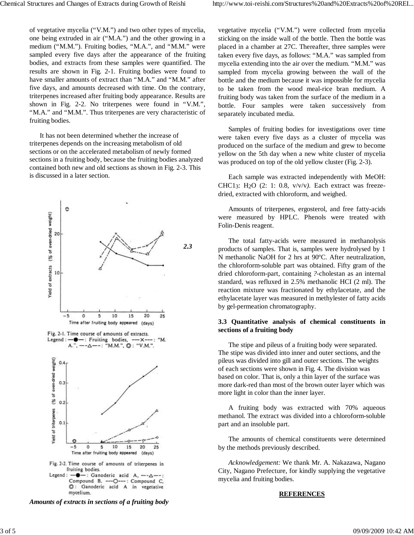five days, and amounts decreased with time. On the contrary, triterpenes increased after fruiting body appearance. Results are shown in Fig. 2-2. No triterpenes were found in "V.M.", "M.A." and "M.M.". Thus triterpenes are very characteristic of fruiting bodies.

It has not been determined whether the increase of triterpenes depends on the increasing metabolism of old sections or on the accelerated metabolism of newly formed sections in a fruiting body, because the fruiting bodies analyzed contained both new and old sections as shown in Fig. 2-3. This is discussed in a later section.



----O---: Compound C, Compound B. C: Ganoderic acid A in vegetative mycelium.

*Amounts of extracts in sections of a fruiting body*

vegetative mycelia ("V.M.") were collected from mycelia sticking on the inside wall of the bottle. Then the bottle was placed in a chamber at 27C. Thereafter, three samples were taken every five days, as follows: "M.A." was sampled from mycelia extending into the air over the medium. "M.M." was sampled from mycelia growing between the wall of the bottle and the medium because it was impossible for mycelia to be taken from the wood meal-rice bran medium. A fruiting body was taken from the surface of the medium in a bottle. Four samples were taken successively from separately incubated media.

Samples of fruiting bodies for investigations over time were taken every five days as a cluster of mycelia was produced on the surface of the medium and grew to become yellow on the 5th day when a new white cluster of mycelia was produced on top of the old yellow cluster (Fig. 2-3).

Each sample was extracted independently with MeOH: CHC13: H2O (2: 1: 0.8, v/v/v*).* Each extract was freezedried, extracted with chloroform, and weighed.

Amounts of triterpenes, ergosterol, and free fatty-acids were measured by HPLC. Phenols were treated with Folin-Denis reagent.

The total fatty-acids were measured in methanolysis products of samples. That is, samples were hydrolysed by 1 N methanolic NaOH for 2 hrs at 90ºC. After neutralization, the chloroform-soluble part was obtained. Fifty gram of the dried chloroform-part, containing *?*-cholestan as an internal standard, was refluxed in 2.5% methanolic HCI (2 ml). The reaction mixture was fractionated by ethylacetate, and the ethylacetate layer was measured in methylester of fatty acids by gel-permeation chromatography.

# **3.3 Quantitative analysis of chemical constituents in sections of a fruiting body**

The stipe and pileus of a fruiting body were separated. The stipe was divided into inner and outer sections, and the pileus was divided into gill and outer sections. The weights of each sections were shown in Fig. 4. The division was based on color. That is, only a thin layer of the surface was more dark-red than most of the brown outer layer which was more light in color than the inner layer.

A fruiting body was extracted with 70% aqueous methanol. The extract was divided into a chloroform-soluble part and an insoluble part.

The amounts of chemical constituents were determined by the methods previously described.

*Acknowledgement:* We thank Mr. A. Nakazawa, Nagano City, Nagano Prefecture, for kindly supplying the vegetative mycelia and fruiting bodies.

## **REFERENCES**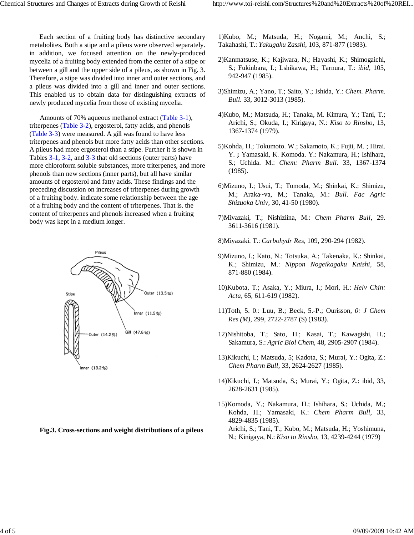Each section of a fruiting body has distinctive secondary metabolites. Both a stipe and a pileus were observed separately. in addition, we focused attention on the newly-produced mycelia of a fruiting body extended from the center of a stipe or between a gill and the upper side of a pileus, as shown in Fig. 3. Therefore, a stipe was divided into inner and outer sections, and a pileus was divided into a gill and inner and outer sections. This enabled us to obtain data for distinguishing extracts of newly produced mycelia from those of existing mycelia.

Amounts of 70% aqueous methanol extract (Table 3-1), triterpenes (Table 3-2), ergosterol, fatty acids, and phenols (Table 3-3) were measured. A gill was found to have less triterpenes and phenols but more fatty acids than other sections. A pileus had more ergosterol than a stipe. Further it is shown in Tables 3-1, 3-2, and 3-3 that old sections (outer parts) have more chloroform soluble substances, more triterpenes, and more phenols than new sections (inner parts), but all have similar amounts of ergosterol and fatty acids. These findings and the preceding discussion on increases of triterpenes during growth of a fruiting body. indicate some relationship between the age of a fruiting body and the content of triterpenes. That is. the content of triterpenes and phenols increased when a fruiting body was kept in a medium longer.



**Fig.3. Cross-sections and weight distributions of a pileus**

1)Kubo, M.; Matsuda, H.; Nogami, M.; Anchi, S.; Takahashi, T.: *Yakugaku Zasshi,* 103, 871-877 (1983).

- 2)Kanmatsuse, K.; Kajiwara, N.; Hayashi, K.; Shimogaichi, S.; Fukinbara, I.; Lshikawa, H.; Tarnura, T.: *ibid,* 105, 942-947 (1985).
- 3)Shimizu, A.; Yano, T.; Saito, Y.; Ishida, Y.: *Chem. Pharm. Bull.* 33, 3012-3013 (1985).
- 4)Kubo, M.; Matsuda, H.; Tanaka, M. Kimura, Y.; Tani, T.; Arichi, S.; Okuda, I.; Kirigaya, N.: *Kiso to Rinsho,* 13, 1367-1374 (1979).
- 5)Kohda, H.; Tokumoto. W.; Sakamoto, K.; Fujii, M. ; Hirai. Y. **;** Yamasaki, K. Komoda. Y.: Nakamura, H.; Ishihara, S.; Uchida. M.: *Chem: Pharm Bull.* 33, 1367-1374 (1985).
- 6)Mizuno, I.; Usui, T.; Tomoda, M.; Shinkai, K.; Shimizu, M.; Araka~va, M.; Tanaka, M.: *Bull. Fac Agric Shizuoka Univ,* 30, 41-50 (1980).
- 7)Mivazaki, T.; Nishiziina, M.: *Chem Pharm Bull,* 29. 3611-3616 (1981).
- 8)Miyazaki. T.: *Carbohydr Res,* 109, 290-294 (1982).
- 9)Mizuno, I.; Kato, N.; Totsuka, A.; Takenaka, K.: Shinkai, K.; Shimizu, M.: *Nippon Nogeikagaku Kaishi,* 58, 871-880 (1984).
- 10)Kubota, T.; Asaka, Y.; Miura, I.; Mori, H.: *Helv Chin: Acta,* 65, 611-619 (1982).
- 11)Toth, 5. 0.: Luu, B.; Beck, 5.-P.; Ourisson, *0: J Chem Res (M),* 299, 2722-2787 (S) (1983).
- 12)Nishitoba, T.; Sato, H.; Kasai, T.; Kawagishi, H.; Sakamura, S.: *Agric Biol Chem,* 48, 2905-2907 (1984).
- 13)Kikuchi, I.; Matsuda, 5; Kadota, S.; Murai, Y.: Ogita, Z.: *Chem Pharm Bull*, 33, 2624-2627 (1985).
- 14)Kikuchi, I.; Matsuda, S.; Murai, Y.; Ogita, Z.: ibid, 33, 2628-2631 (1985).
- 15)Komoda, Y.; Nakamura, H.; Ishihara, S.; Uchida, M.; Kohda, H.; Yamasaki, K.: *Chem Pharm Bull*, 33, 4829-4835 (1985). Arichi, S.; Tani, T.; Kubo, M.; Matsuda, H.; Yoshimuna, N.; Kinigaya, N.: *Kiso to Rinsho,* 13, 4239-4244 (1979)